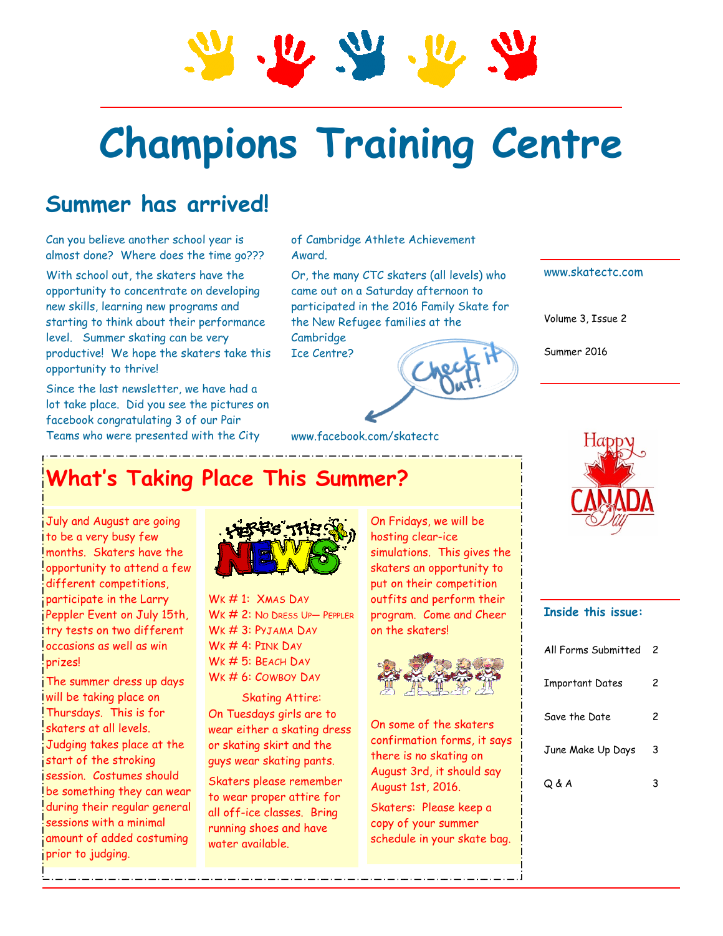# **Champions Training Centre**

## **Summer has arrived!**

Can you believe another school year is almost done? Where does the time go???

With school out, the skaters have the opportunity to concentrate on developing new skills, learning new programs and starting to think about their performance level. Summer skating can be very productive! We hope the skaters take this opportunity to thrive!

Since the last newsletter, we have had a lot take place. Did you see the pictures on facebook congratulating 3 of our Pair Teams who were presented with the City

of Cambridge Athlete Achievement Award.

www.facebook.com/skatectc

Or, the many CTC skaters (all levels) who came out on a Saturday afternoon to participated in the 2016 Family Skate for the New Refugee families at the Cambridge

Ice Centre?



Volume 3, Issue 2

Summer 2016



# **What's Taking Place This Summer?**

July and August are going to be a very busy few months. Skaters have the opportunity to attend a few different competitions, participate in the Larry Peppler Event on July 15th, try tests on two different occasions as well as win prizes!

The summer dress up days will be taking place on Thursdays. This is for skaters at all levels. Judging takes place at the start of the stroking session. Costumes should be something they can wear during their regular general sessions with a minimal amount of added costuming prior to judging.



WK#1: XMAS DAY WK # 2: NO DRESS UP- PEPPLER WK # 3: PYJAMA DAY  $WK \# 4$ : PINK DAY WK # 5: BEACH DAY WK # 6: COWBOY DAY

Skating Attire: On Tuesdays girls are to wear either a skating dress or skating skirt and the guys wear skating pants.

Skaters please remember to wear proper attire for all off-ice classes. Bring running shoes and have water available.

On Fridays, we will be hosting clear-ice simulations. This gives the skaters an opportunity to put on their competition outfits and perform their program. Come and Cheer on the skaters!



On some of the skaters confirmation forms, it says there is no skating on August 3rd, it should say August 1st, 2016.

Skaters: Please keep a copy of your summer schedule in your skate bag.

#### **Inside this issue:**

| All Forms Submitted    | 2 |
|------------------------|---|
| <b>Important Dates</b> | 2 |
| Save the Date          | 2 |
| June Make Up Days      | 3 |
| Q & A                  |   |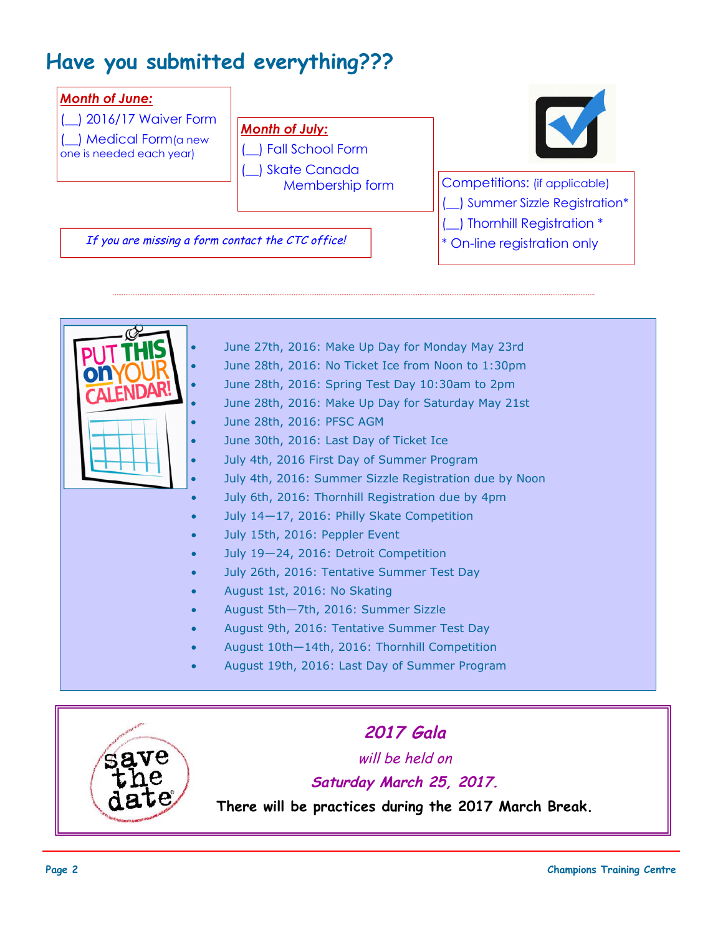## **Have you submitted everything???**





#### **Saturday March 25, 2017.**

**There will be practices during the 2017 March Break.**